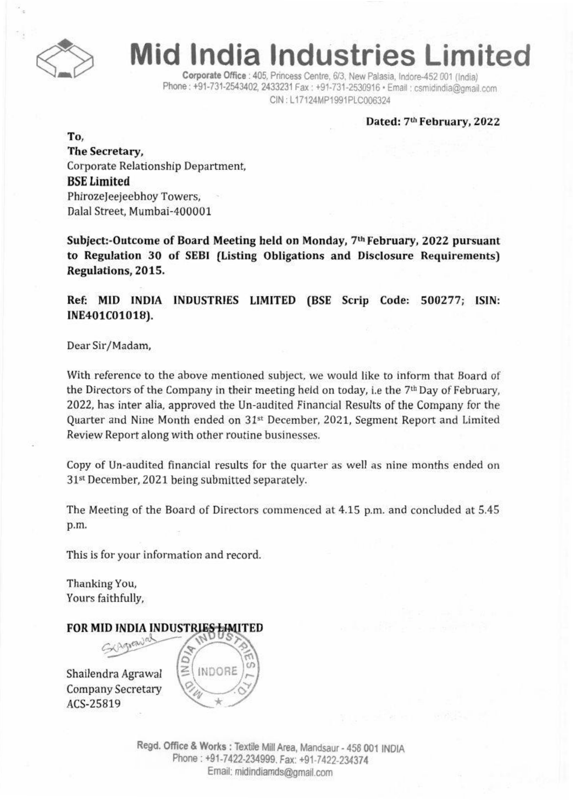

# **Mid India Industries Limited**

Corporate Office : 405. Princess Centre. 6/3. New Palasia. Indore-452001 (India) Phone : +91-731-2543402, 2433231 Fax : +91-731-2530916 · Email : csmidindia@gmail.com CIN: L17124MP1991PLC006324

#### Dated: 7th February, 2022

To, The Secretary, Corporate Relationship Department. BSELimited Phirozejeejeebhoy Towers, Dalal Street, Mumbal-400001

Subject:-Outcome of Board Meeting held on Monday, 7th February, 2022 pursuant to Regulation 30 of SEBI (Listing Obligations and Disclosure Requirements) Regulations, 2015.

Ref: MID INDIA INDUSTRIES LIMITED (BSE Scrip Code: 500277; ISIN: INE401C01018).

Dear Sir/Madam,

With reference to the above mentioned subject. we would like to inform that Board of the Directors of the Company in their meeting held on today, i.e the 7th Day of February, 2022, has inter alia, approved the Un-audited Financial Results of the Company for the Quarter and Nine Month ended on 31<sup>st</sup> December, 2021, Segment Report and Limited Review Report along with other routine businesses.

Copy of Un-audited financial results for the quarter as well as nine months ended on 31<sup>st</sup> December, 2021 being submitted separately.

The Meeting of the Board of Directors commenced at 4.15 p.m. and concluded at 5.45 p.m.

This is for your information and record.

Thanking You, Yours faithfully,

### FOR MID INDIA INDUSTRIES LIMITED

Shailendra Agrawal **Company Secretary** ACS-25819



Regd. Office & Works : Textile Mill Area, Mandsaur - 458 001 INDIA Phone: +91-7422-234999. Fax: +91-7422-234374 Email: midindiamds@gmail.com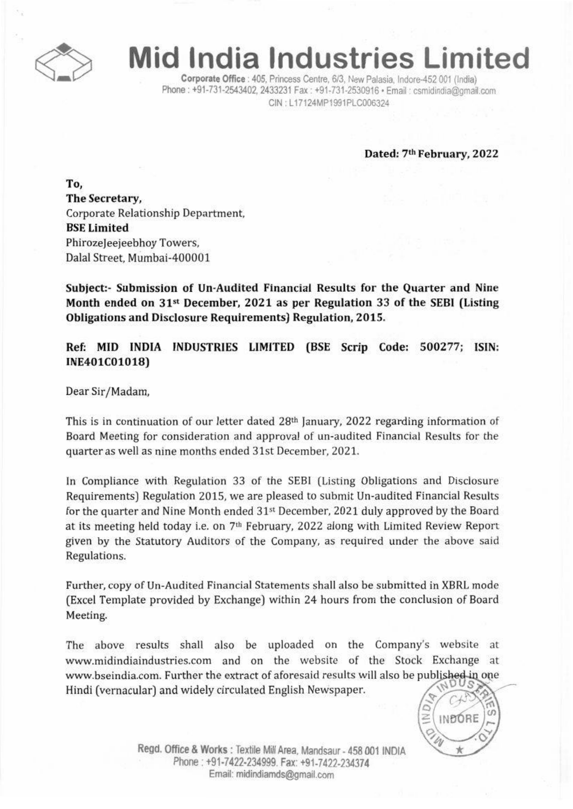

# **Mid India Industries Limited**

Corporate Office : 405, Princess Centre, 6/3, New Palasia, Indore-452 001 (India) Phone: +91-731-2543402, 2433231 Fax: +91-731-2530916 · Email: csmidindia@gmail.com CIN : L17124MP1991PLC006324

Dated: 7th February, 2022

To, The Secretary, Corporate Relationship Department. **BSE Limited** Phirozeleejeebhoy Towers. Dalal Street. Mumbai-400001

Subject:- Submission of Un-Audited Financial Results for the Quarter and Nine Month ended on 31<sup>st</sup> December, 2021 as per Regulation 33 of the SEBI (Listing Obligations and Disclosure Requirements) Regulation. 2015.

Ref: MID INDIA INDUSTRIES LIMITED (BSE Scrip Code: 500277; ISIN: INE401COI018)

Dear Sir/Madam.

This is in continuation of our letter dated 28th January. 2022 regarding information of Board Meeting for consideration and approval of un-audited Financial Results for the quarter as well as nine months ended 31st December, 2021.

In Compliance with Regulation 33 of the SEBI (Listing Obligations and Disclosure Requirements) Regulation 2015. we are pleased to submit Un-audited Financial Results for the quarter and Nine Month ended 31st December. 2021 duly approved by the Board at its meeting held today i.e. on 7'h February. 2022 along with Limited Review Report given by the Statutory Auditors of the Company. as required under the above said Regulations.

Further. copy of Un-Audited Financial Statements shall also be submitted in XBRLmode (Excel Template provided by Exchange) within 24 hours from the conclusion of Board Meeting.

The above results shall also be uploaded on the Company's website at www.midindiaindustries.com and on the website of the Stock Exchange at www.bseindia.com. Further the extract of aforesaid results will also be published in one Hindi (vernacular) and widely circulated English Newspaper.



Regd. Office & Works : Textile Mill Area. Mandsaur - 458 001 INDIA Phone: +91-7422-234999. Fax: +91-7422-234374 Email: midindiamds@gmail.com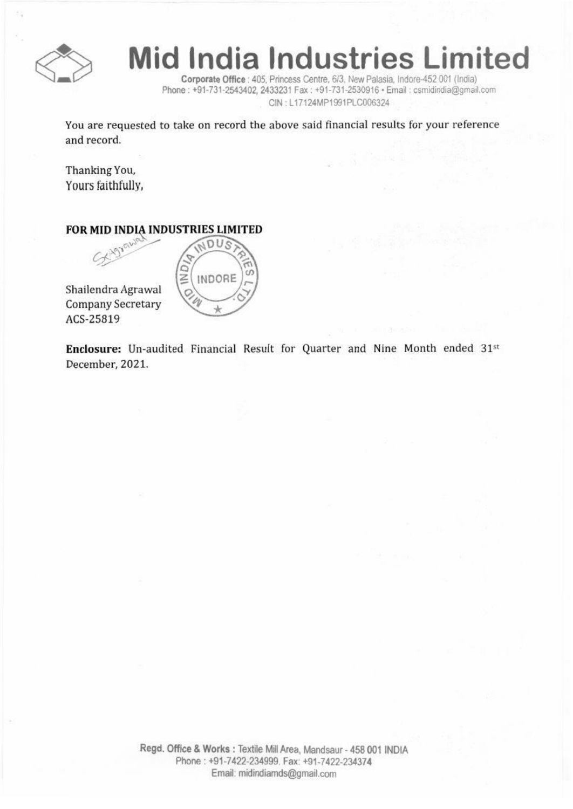

# **Mid India Industries Limited**

Corporate Office : 405, Princess Centre, 6/3, New Palasia, Indore-452 001 (India) Phone : +91-731-2543402, 2433231 Fax : +91-731-2530916 · Email : csmidindia@gmail.com CIN: L17124MP1991PLC006324

You are requested to take on record the above said financial results for your reference and record.

Thanking You, Yours faithfully,

### FOR MID INDIA INDUSTRIES LIMITED

Shailendra Agrawal Company Secretary ACS-25B19



Enclosure: Un-audited Financial Result for Quarter and Nine Month ended 31st December, 2021.

> Regd. Office & Works: Textile Mill Area, Mandsaur - 458 001 INDIA Phone: +91-7422-234999. Fax: +91-7422-234374 Email: midindiamds@gmail.com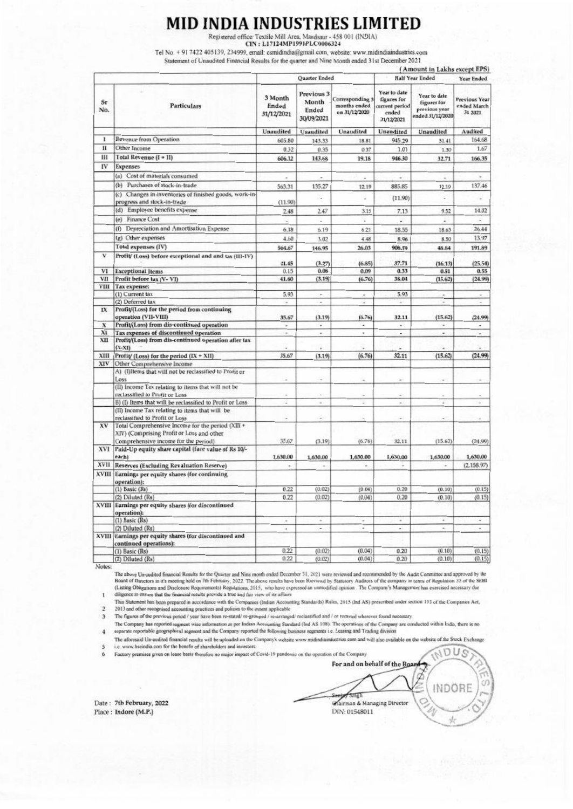## **MID INDIA INDUSTRIES LIMITED**

Registered office: Textile Mill Area, Mandsaur - 458 001 (INDIA)<br>CIN : L17124MP1991PLC0006324

Tel No. + 91 7422 405139, 234999, email: csmidindia@gmail.com, website: www.midindiaindustries.com

Statement of Unaudited Financial Results for the quarter and Nine Month ended 31st December 2021

|                     |                                                                                                                                  |                                |                                            |                                                  | (Amount in Lakhs except EPS)<br><b>Half Year Ended</b>               |                                                                  |                                                |  |
|---------------------|----------------------------------------------------------------------------------------------------------------------------------|--------------------------------|--------------------------------------------|--------------------------------------------------|----------------------------------------------------------------------|------------------------------------------------------------------|------------------------------------------------|--|
| $S_{\Gamma}$<br>No. | <b>Particulars</b>                                                                                                               |                                | Quarter Ended                              |                                                  |                                                                      | Year Ended                                                       |                                                |  |
|                     |                                                                                                                                  | 3 Month<br>Ended<br>31/12/2021 | Previous 3<br>Month<br>Ended<br>30/09/2021 | Corresponding 3<br>months ended<br>on 31/12/2020 | Year to date<br>figures for<br>current period<br>ended<br>31/12/2021 | Year to date<br>figures for<br>previous year<br>ended 31/12/2020 | <b>Previous Year</b><br>ended March<br>31 2021 |  |
|                     |                                                                                                                                  | Unaudited                      | Unaudited                                  | Unaudited                                        | <b>Unaudited</b>                                                     | Unaudited                                                        | Audited                                        |  |
| 1                   | Revenue from Operation                                                                                                           | 605.80                         | 143.33                                     | 18.81                                            | 945.29                                                               | 31.41                                                            | 164.68                                         |  |
| $\mathbf{II}$       | Other Income                                                                                                                     | 0.32                           | 0.35                                       | 0.37                                             | 1.01                                                                 | 1.30                                                             | 1.67                                           |  |
| Ш                   | Total Revenue (I + II)                                                                                                           | 606.12                         | 143.68                                     | 19.18                                            | 946.30                                                               | 32.71                                                            | 166.35                                         |  |
| IV                  | <b>Expenses</b>                                                                                                                  |                                |                                            |                                                  |                                                                      |                                                                  |                                                |  |
|                     | (a) Cost of materials consumed                                                                                                   |                                |                                            | ۰                                                | ٠                                                                    | ٠                                                                |                                                |  |
|                     | (b) Purchases of stock-in-trade                                                                                                  | 563.31                         | 135.27                                     | 12.19                                            | 885.85                                                               | 12.19                                                            | 137.46                                         |  |
|                     | (c) Changes in inventories of finished goods, work-in-                                                                           |                                | ı.                                         | s                                                |                                                                      |                                                                  |                                                |  |
|                     | progress and stock-in-trade                                                                                                      | (11.90)                        |                                            |                                                  | (11.90)                                                              |                                                                  |                                                |  |
|                     | (d) Employee benefits expense                                                                                                    | 2.48                           | 2.47                                       | 3.15                                             | 7.13                                                                 | 9.52                                                             | 14.02                                          |  |
|                     | (e) Finance Cost                                                                                                                 | z                              | ×.                                         | ¥,                                               | ¥                                                                    | s.                                                               | j.                                             |  |
|                     | Depreciation and Amortisation Expense<br>(f)                                                                                     | 6.18                           | 6.19                                       | 6.21                                             | 18.55                                                                | 18.63                                                            | 26.44                                          |  |
|                     | (g) Other expenses                                                                                                               | 4.60                           | 3.02                                       | 4.48                                             | 8.96                                                                 | 8.50                                                             | 13.97                                          |  |
|                     | <b>Total expenses (IV)</b>                                                                                                       | 564.67                         | 146.95                                     | 26.03                                            | 908.59                                                               | 48.84                                                            | 191.89                                         |  |
| v                   | Profit/ (Loss) before exceptional and and tax (III-IV)                                                                           |                                |                                            |                                                  |                                                                      |                                                                  |                                                |  |
|                     |                                                                                                                                  | 41.45                          | (3.27)                                     | (6.85)                                           | 37.71                                                                | (16.13)                                                          | (25, 54)                                       |  |
| VI                  | <b>Exceptional Items</b>                                                                                                         | 0.15                           | 0.08                                       | 0.09                                             | 0.33                                                                 | 0.51                                                             | 0.55                                           |  |
| VП                  | Profit before tax (V- VI)                                                                                                        | 41.60                          | (3.19)                                     | (6.76)                                           | 38.04                                                                | (15.62)                                                          | (24.99)                                        |  |
| VIII                | Tax expense:                                                                                                                     |                                |                                            |                                                  |                                                                      |                                                                  |                                                |  |
|                     | (1) Current tax                                                                                                                  | 5.93                           | $\sim$                                     | $\overline{a}$                                   | 5.93                                                                 | $\overline{a}$                                                   | ÷                                              |  |
| IX                  | (2) Deferred tax<br>Profit/(Loss) for the period from continuing                                                                 | ÷                              | $\sim$                                     | ÷                                                | ÷                                                                    | L                                                                | i.                                             |  |
|                     | operation (VII-VIII)                                                                                                             | 35.67                          | (3.19)                                     | (6.76)                                           | 32.11                                                                | (15.62)                                                          | (24.99)                                        |  |
| $\boldsymbol{\chi}$ | Profit/(Loss) from dis-continued operation                                                                                       | ×                              | $\overline{\phantom{a}}$                   | ٠                                                | $\mathbf{r}$                                                         | ٠                                                                | ×,                                             |  |
| XI                  | Tax expenses of discontinued operation                                                                                           | ٠                              | $\overline{a}$                             | ٠                                                | $\overline{a}$                                                       | ٠                                                                |                                                |  |
| XII                 | Profit/(Loss) from dis-continued operation after tax<br>$(X-XI)$                                                                 |                                | ü                                          |                                                  | z                                                                    |                                                                  |                                                |  |
| XIII                | Profit/(Loss) for the period (IX + XII)                                                                                          | 35.67                          | (3.19)                                     | (6.76)                                           | 32.11                                                                | (15.62)                                                          | (24.99)                                        |  |
| XIV <sub></sub>     | Other Comprehensive Income                                                                                                       |                                |                                            |                                                  |                                                                      |                                                                  |                                                |  |
|                     | A) (I)Items that will not be reclassified to Profit or<br>Loss                                                                   | z                              |                                            |                                                  |                                                                      |                                                                  |                                                |  |
|                     | (II) Income Tax relating to items that will not be                                                                               |                                |                                            |                                                  |                                                                      |                                                                  |                                                |  |
|                     | reclassified to Profit or Loss                                                                                                   |                                |                                            |                                                  |                                                                      |                                                                  |                                                |  |
|                     | B) (I) Items that will be reclassified to Profit or Loss<br>(II) Income Tax relating to items that will be                       | c                              | ٠                                          | ÷                                                | w                                                                    | a,                                                               | ۷                                              |  |
| XV                  | reclassified to Profit or Loss<br>Total Comprehensive Income for the period (XIII +<br>XIV) (Comprising Profit or Loss and other | u                              | ÷                                          |                                                  | ٠                                                                    |                                                                  |                                                |  |
| XVI                 | Comprehensive income for the period)<br>Paid-Up equity share capital (face value of Rs 10/-<br>each)                             | 35.67<br>1,630.00              | (3.19)<br>1,630.00                         | (6.76)<br>1,630.00                               | 32.11<br>1,630.00                                                    | (15.62)<br>1,630.00                                              | (24.99)<br>1,630.00                            |  |
| XVII                | Reserves (Excluding Revaluation Reserve)                                                                                         | ×,                             | ×.                                         | ÷                                                | ٠                                                                    | ٠                                                                | (2.158.97)                                     |  |
| XVIII               | Earnings per equity shares (for continuing                                                                                       |                                |                                            |                                                  |                                                                      |                                                                  |                                                |  |
|                     | operation):<br>(1) Basic (Rs)                                                                                                    | 0.22                           | (0.02)                                     | (0.04)                                           | 0, 20                                                                | (0.10)                                                           | (0.15)                                         |  |
|                     | (2) Diluted (Rs)                                                                                                                 | 0.22                           | (0.02)                                     | (0.04)                                           | 0.20                                                                 | (0.10)                                                           | (0.15)                                         |  |
|                     | XVIII Earnings per equity shares (for discontinued<br>operation):                                                                |                                |                                            |                                                  |                                                                      |                                                                  |                                                |  |
|                     | (1) Basic (Rs)                                                                                                                   | ¥                              | $\alpha$                                   | ×,                                               | $\scriptstyle\rm m$                                                  | ÷                                                                | ٠                                              |  |
|                     | (2) Diluted (Rs)                                                                                                                 | ×                              | $\frac{1}{2}$                              | $\alpha$                                         | ۰                                                                    | u,                                                               | $\scriptstyle\star$                            |  |
|                     | XVIII Earnings per equity shares (for discontinued and<br>continued operations):                                                 |                                |                                            |                                                  |                                                                      |                                                                  |                                                |  |
|                     | $(1)$ Basic $(Rs)$                                                                                                               | 0.22                           | (0.02)                                     | (0.04)                                           | 0.20                                                                 | (0.10)                                                           | (0.15)                                         |  |
|                     | (2) Diluted (Rs)                                                                                                                 | 0.22                           | (0.02)                                     | (0.04)                                           | 0.20                                                                 | (0.10)                                                           | (0.15)                                         |  |

Notes:

The above Un-audited financial Results for the Quarter and Nine month ended December 31, 2021 were reviewed and recommended by the Audit Committee and approved by the Board of Directors in it's moeting held on 7th February

ï

 $\overline{2}$ 2013 and other recognised accounting practices and policies to the extent applicable

 $\overline{3}$ 

The figures of the previous period / year have been re-stated re-grouped / re-arranged/ reclassified and / or recasted wherever found necessary<br>The Company has reported segment wise information as per Indian Accounting Sta  $\overline{4}$ 

The aforesaid Un-audited financial results will be uploaded on the Company's website www.midindiaindustries com and will also available on the website of the Stock Exchange  $\mathbf{S}$ i.e. www.bseindia.com for the benefit of shareholders and investors

6 Factory premises given on lease basis therefore no major impact of Covid-19 pandomic on the operation of the Comp

NDUS For and on behalf of the Bo INDORE smgh Chairman & Managing Director DIN: 01548011

Date: 7th February, 2022 Place: Indore (M.P.)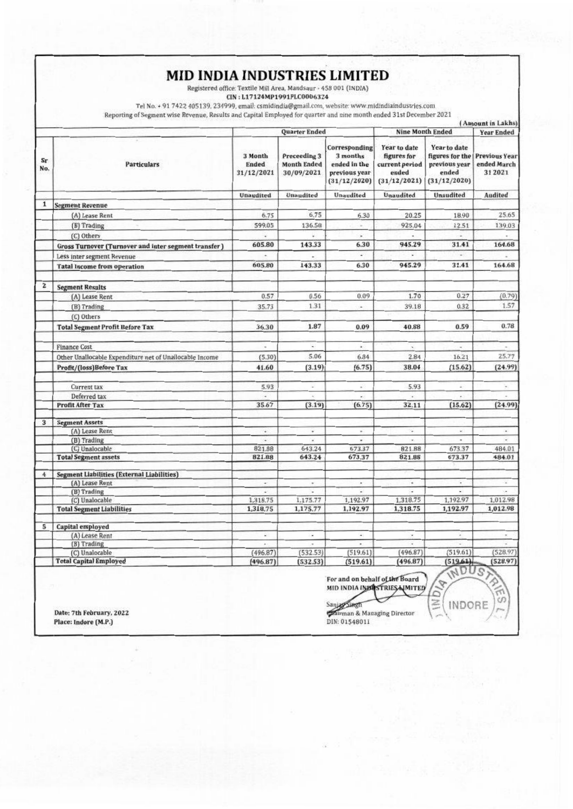## MID INDIA INDUSTRIES LIMITED

Registered office: Textile Mill Area, Mandsaur - 458 001 (INDIA)

CIN: L17124MP1991PLC0006324

Tel No. + 91 7422 405139, 234999, email: csmidindia@gmail.com, website: www.midindiaindustries.com

Reporting of Segment wise Revenue, Results and Capital Employed for quarter and nine month ended 31st December 2021

 $\lambda$ 

| Sr<br>No.    | <b>Particulars</b>                                          | Quarter Ended                  |                                                  |                                                                                   | <b>Nine Month Ended</b>                                                |                                                                           | <b>Year Ended</b>                              |
|--------------|-------------------------------------------------------------|--------------------------------|--------------------------------------------------|-----------------------------------------------------------------------------------|------------------------------------------------------------------------|---------------------------------------------------------------------------|------------------------------------------------|
|              |                                                             | 3 Month<br>Ended<br>31/12/2021 | Preceeding 3<br><b>Month Ended</b><br>30/09/2021 | <b>Corresponding</b><br>3 months<br>ended in the<br>previous year<br>(31/12/2020) | Year to date<br>figures for<br>current period<br>ended<br>(31/12/2021) | Year to date<br>figures for the<br>previous year<br>ended<br>(31/12/2020) | <b>Previous Year</b><br>ended March<br>31 2021 |
|              |                                                             | Unaudited                      | <b>Unaudited</b>                                 | Unaudited                                                                         | Unaudited                                                              | Unaudited                                                                 | Audited                                        |
| 1            | <b>Segment Revenue</b>                                      |                                |                                                  |                                                                                   |                                                                        |                                                                           |                                                |
|              | (A) Lease Rent                                              | 6.75                           | 6.75                                             | 6.30                                                                              | 20.25                                                                  | 18.90                                                                     | 25.65                                          |
|              | (B) Trading                                                 | 599.05                         | 136.58                                           | ×.                                                                                | 925.04                                                                 | 12.51                                                                     | 139.03                                         |
|              | (C) Others                                                  | u                              |                                                  | Ý.                                                                                |                                                                        | ÷                                                                         |                                                |
|              | <b>Gross Turnover (Turnover and inter segment transfer)</b> | 605.80                         | 143.33                                           | 6.30                                                                              | 945.29                                                                 | 31.41                                                                     | 164.68                                         |
|              | Less inter segment Revenue                                  |                                |                                                  | ÷                                                                                 |                                                                        | ۰                                                                         |                                                |
|              | <b>Tatal Income from operation</b>                          | 605.80                         | 143.33                                           | 6.30                                                                              | 945.29                                                                 | 31.41                                                                     | 164.68                                         |
| $\mathbf{z}$ | <b>Segment Results</b>                                      |                                |                                                  |                                                                                   |                                                                        |                                                                           |                                                |
|              | (A) Lease Rent                                              | 0.57                           | 0.56                                             | 0.09                                                                              | 1.70                                                                   | 0.27                                                                      | (0.79)                                         |
|              | (B) Trading                                                 | 35.73                          | 1.31                                             | ×.                                                                                | 39.18                                                                  | 0.32                                                                      | 1.57                                           |
|              | (C) Others                                                  |                                |                                                  |                                                                                   |                                                                        |                                                                           |                                                |
|              | <b>Total Segment Profit Before Tax</b>                      | 36.30                          | 1.87                                             | 0.09                                                                              | 40.88                                                                  | 0.59                                                                      | 0.78                                           |
|              | <b>Finance Cost</b>                                         | ×.                             | ×.                                               | k.                                                                                | ×                                                                      | ٠                                                                         | $\overline{\phantom{a}}$                       |
|              | Other Unallocable Expenditure net of Unallocable Income     | (5.30)                         | 5.06                                             | 6.84                                                                              | 2.84                                                                   | 16.21                                                                     | 25.77                                          |
|              | Profit/(loss)Before Tax                                     | 41.60                          | (3.19)                                           | (6.75)                                                                            | 38.04                                                                  | (15.62)                                                                   | (24.99)                                        |
|              | Current tax                                                 | 5.93                           | u,                                               | W.                                                                                | 5.93                                                                   | ×                                                                         | ¥                                              |
|              | Deferred tax                                                | ÷                              |                                                  |                                                                                   |                                                                        |                                                                           |                                                |
|              | <b>Profit After Tax</b>                                     | 35.67                          | (3.19)                                           | (6.75)                                                                            | 32.11                                                                  | (15.62)                                                                   | (24.99)                                        |
| 3            | <b>Segment Assets</b>                                       |                                |                                                  |                                                                                   |                                                                        |                                                                           |                                                |
|              | (A) Lease Rent                                              | ٠                              | ÷                                                | ×.                                                                                | ÷.                                                                     | ×.                                                                        | ×                                              |
|              | (B) Trading                                                 |                                | ó,                                               |                                                                                   |                                                                        |                                                                           |                                                |
|              | (C) Unalocable<br><b>Total Segment assets</b>               | 821.88<br>821.88               | 643.24<br>643.24                                 | 673.37<br>673.37                                                                  | 821.88<br>821.88                                                       | 673.37<br>673.37                                                          | 484.01<br>484.01                               |
|              |                                                             |                                |                                                  |                                                                                   |                                                                        |                                                                           |                                                |
| 4            | <b>Segment Liabilities (External Liabilities)</b>           |                                |                                                  |                                                                                   |                                                                        |                                                                           |                                                |
|              | (A) Lease Rent                                              | ٠                              | $\sim$                                           | ٠                                                                                 | ٠                                                                      |                                                                           | $\omega$                                       |
|              | (B) Trading                                                 |                                |                                                  |                                                                                   |                                                                        |                                                                           |                                                |
|              | (C) Unalocable                                              | 1,318.75                       | 1,175.77                                         | 1,192.97                                                                          | 1,318.75                                                               | 1,192.97                                                                  | 1,012.98                                       |
|              | <b>Total Segment Liabilities</b>                            | 1,318.75                       | 1,175.77                                         | 1,192.97                                                                          | 1,318.75                                                               | 1,192.97                                                                  | 1,012.98                                       |
| 5            | Capital employed                                            |                                |                                                  |                                                                                   |                                                                        |                                                                           |                                                |
|              | (A) Lease Rent                                              | ×,                             | $\overline{\phantom{a}}$                         | ÷.                                                                                | $\overline{\phantom{a}}$                                               | $\frac{1}{2}$                                                             | $\alpha$                                       |
|              | (B) Trading                                                 | u                              |                                                  |                                                                                   |                                                                        |                                                                           |                                                |
|              | (C) Unalocable                                              | (496.87)                       | (532.53)                                         | (519.61)                                                                          | (496.87)                                                               | (519.61)                                                                  | (528.97)                                       |
|              | <b>Total Capital Employed</b>                               | (496.87)                       | (532.53)                                         | (519.61)                                                                          | (496.87)                                                               | (519.61)<br>WDUS                                                          | (528.97)                                       |

Date: 7th February, 2022 Place: Indore (M.P.)

MID INDIA INBUSTRIES NMITED Sanjag Singh Chirman & Managing Director DIN: 01548011

ä  $\overline{z}$ 

INDORE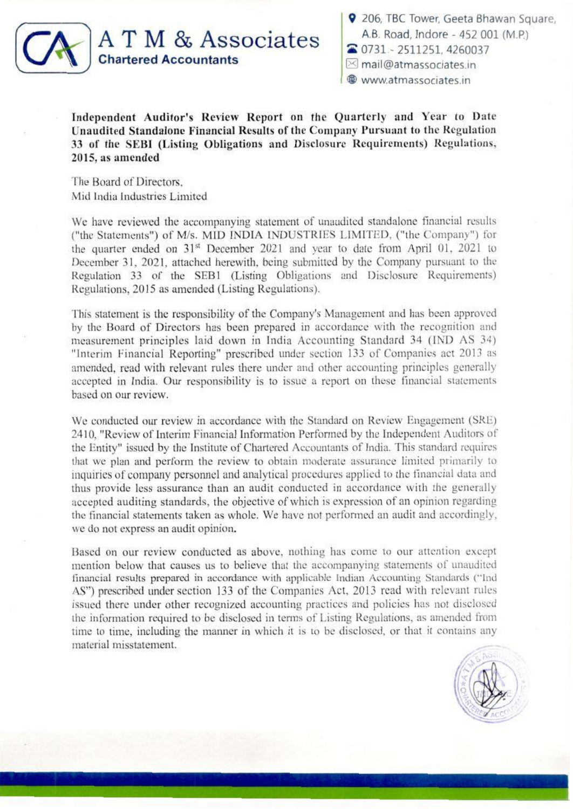

9 206, TBC Tower, Geeta Bhawan Square, A.B. Road, Indore - 452 001 (M.P.) ~ 0731 2511251.4260037  $\boxtimes$  mail@atmassociates in ® www.atmassocates.m

Independent Auditor's Review Report on the Quarterly and Year to Date Unaudited Standalone Financial Results of the Company Pursuant to the Regulation 33 of the SEBI (Listing Obligations and Disclosure Requirements) Regulations,  $2015$ , as amended

The Board of Directors, Mid India Industries Limited

We have reviewed the accompanying statement of unaudited standalone financial results ("the Statements") of M/s. MID INDIA INDUSTRIES LIMITED, ("the Company") for the quarter ended on 31<sup>st</sup> December 2021 and year to date from April 01, 2021 to December 31, 2021, attached herewith, being submitted by the Company pursuant to the Regulation 33 of the SEB1 (Listing Obligations and Disclosure Requirements) Regulations, 2015 as amended (Listing Regulations).

This statement is the responsibility of the Company's Management and has been approved by the Board of Directors has been prepared in accordance with the recognition and measurement principles laid down in India Accounting Standard 34 (IND AS 34) "Interim Financial Reporting" prescribed under section 133 of Companies act 2013 as amended, read with relevant rules there under and other accounting principles generally accepted in India. Our responsibility is to issue a report on these financial statements based on our review.

We conducted our review in accordance with the Standard on Review Engagement (SRE). 2410, "Review of Interim Financial Information Performed by the Independent Auditors of the Entity" issued by the Institute of Chartered Accountants of India. This standard requires that we plan and perform the review to obtain moderate assurance limited primarily to inquiries of company personnel and analytical procedures applied to the financial data and thus provide less assurance than an audit conducted in accordance with the generally accepted auditing standards, the objective of which is expression of an opinion regarding the financial statements taken as whole. We have not performed an audit and accordinglv, we do not express an audit opinion.

Based on our review conducted as above. nothing has come to our attention except mention below that causes us to believe that the accompanying statements of unaudited financial results prepared in accordance with applicable Indian Accounting Standards ("Ind AS") prescribed under section 133 of the Companies Act, 2013 read with relevant rules issued there under other recognized accounting practices and policies has not disclosed the information required to be disclosed in terms of Listing Regulations, as amended from time to time, including the manner in which it is to be disclosed, or that it contains any material misstatement.

. ~...:\_--~j